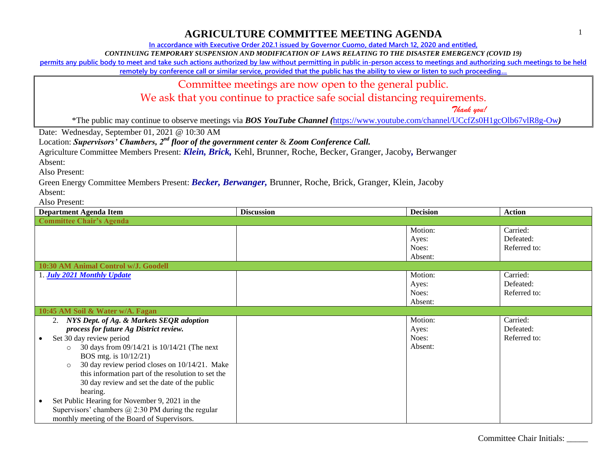**In accordance with Executive Order 202.1 issued by Governor Cuomo, dated March 12, 2020 and entitled,**

*CONTINUING TEMPORARY SUSPENSION AND MODIFICATION OF LAWS RELATING TO THE DISASTER EMERGENCY (COVID 19)*

**permits any public body to meet and take such actions authorized by law without permitting in public in-person access to meetings and authorizing such meetings to be held** 

**remotely by conference call or similar service, provided that the public has the ability to view or listen to such proceeding…**

Committee meetings are now open to the general public.

We ask that you continue to practice safe social distancing requirements.

 *Thank you!*

\*The public may continue to observe meetings via *BOS YouTube Channel (*<https://www.youtube.com/channel/UCcfZs0H1gcOlb67vlR8g-Ow>*)*

Date: Wednesday, September 01, 2021 @ 10:30 AM

Location: *Supervisors' Chambers, 2nd floor of the government center* & *Zoom Conference Call.*

Agriculture Committee Members Present: *Klein, Brick,* Kehl, Brunner, Roche, Becker, Granger, Jacoby*,* Berwanger

Absent:

Also Present:

Green Energy Committee Members Present: *Becker, Berwanger,* Brunner, Roche, Brick, Granger, Klein, Jacoby

Absent:

Also Present:

| <b>Department Agenda Item</b>                             | <b>Discussion</b> | <b>Decision</b> | <b>Action</b> |  |
|-----------------------------------------------------------|-------------------|-----------------|---------------|--|
| <b>Committee Chair's Agenda</b>                           |                   |                 |               |  |
|                                                           |                   | Motion:         | Carried:      |  |
|                                                           |                   | Ayes:           | Defeated:     |  |
|                                                           |                   | Noes:           | Referred to:  |  |
|                                                           |                   | Absent:         |               |  |
| 10:30 AM Animal Control w/J. Goodell                      |                   |                 |               |  |
| 1. <b>July 2021 Monthly Update</b>                        |                   | Motion:         | Carried:      |  |
|                                                           |                   | Ayes:           | Defeated:     |  |
|                                                           |                   | Noes:           | Referred to:  |  |
|                                                           |                   | Absent:         |               |  |
| 10:45 AM Soil & Water w/A. Fagan                          |                   |                 |               |  |
| 2. NYS Dept. of Ag. & Markets SEQR adoption               |                   | Motion:         | Carried:      |  |
| process for future Ag District review.                    |                   | Ayes:           | Defeated:     |  |
| Set 30 day review period                                  |                   | Noes:           | Referred to:  |  |
| 30 days from 09/14/21 is 10/14/21 (The next<br>$\circ$    |                   | Absent:         |               |  |
| BOS mtg. is 10/12/21)                                     |                   |                 |               |  |
| 30 day review period closes on 10/14/21. Make<br>$\circ$  |                   |                 |               |  |
| this information part of the resolution to set the        |                   |                 |               |  |
| 30 day review and set the date of the public              |                   |                 |               |  |
| hearing.                                                  |                   |                 |               |  |
| Set Public Hearing for November 9, 2021 in the            |                   |                 |               |  |
| Supervisors' chambers $\omega$ 2:30 PM during the regular |                   |                 |               |  |
| monthly meeting of the Board of Supervisors.              |                   |                 |               |  |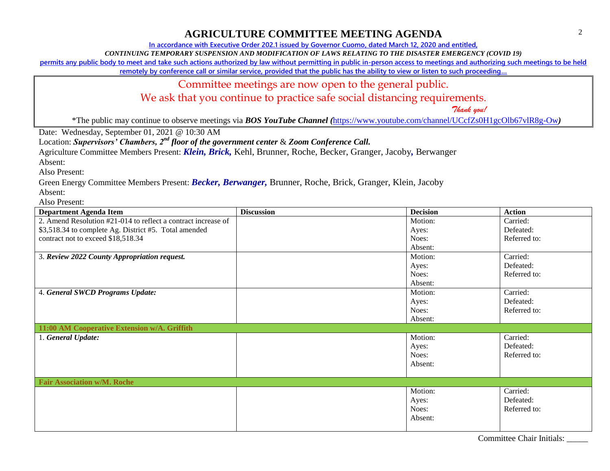**In accordance with Executive Order 202.1 issued by Governor Cuomo, dated March 12, 2020 and entitled,**

*CONTINUING TEMPORARY SUSPENSION AND MODIFICATION OF LAWS RELATING TO THE DISASTER EMERGENCY (COVID 19)*

**permits any public body to meet and take such actions authorized by law without permitting in public in-person access to meetings and authorizing such meetings to be held** 

**remotely by conference call or similar service, provided that the public has the ability to view or listen to such proceeding…**

Committee meetings are now open to the general public.

We ask that you continue to practice safe social distancing requirements.

 *Thank you!*

\*The public may continue to observe meetings via *BOS YouTube Channel (*<https://www.youtube.com/channel/UCcfZs0H1gcOlb67vlR8g-Ow>*)*

Date: Wednesday, September 01, 2021 @ 10:30 AM

Location: *Supervisors' Chambers, 2nd floor of the government center* & *Zoom Conference Call.*

Agriculture Committee Members Present: *Klein, Brick,* Kehl, Brunner, Roche, Becker, Granger, Jacoby*,* Berwanger

Absent:

Also Present:

Green Energy Committee Members Present: *Becker, Berwanger,* Brunner, Roche, Brick, Granger, Klein, Jacoby Absent:

Also Present:

| <b>Department Agenda Item</b>                                 | <b>Discussion</b> | <b>Decision</b> | <b>Action</b> |
|---------------------------------------------------------------|-------------------|-----------------|---------------|
| 2. Amend Resolution #21-014 to reflect a contract increase of |                   | Motion:         | Carried:      |
| \$3,518.34 to complete Ag. District #5. Total amended         |                   | Ayes:           | Defeated:     |
| contract not to exceed \$18,518.34                            |                   | Noes:           | Referred to:  |
|                                                               |                   | Absent:         |               |
| 3. Review 2022 County Appropriation request.                  |                   | Motion:         | Carried:      |
|                                                               |                   | Ayes:           | Defeated:     |
|                                                               |                   | Noes:           | Referred to:  |
|                                                               |                   | Absent:         |               |
| 4. General SWCD Programs Update:                              |                   | Motion:         | Carried:      |
|                                                               |                   | Ayes:           | Defeated:     |
|                                                               |                   | Noes:           | Referred to:  |
|                                                               |                   | Absent:         |               |
| 11:00 AM Cooperative Extension w/A. Griffith                  |                   |                 |               |
| 1. General Update:                                            |                   | Motion:         | Carried:      |
|                                                               |                   | Ayes:           | Defeated:     |
|                                                               |                   | Noes:           | Referred to:  |
|                                                               |                   | Absent:         |               |
|                                                               |                   |                 |               |
| <b>Fair Association w/M. Roche</b>                            |                   |                 |               |
|                                                               |                   | Motion:         | Carried:      |
|                                                               |                   | Ayes:           | Defeated:     |
|                                                               |                   | Noes:           | Referred to:  |
|                                                               |                   | Absent:         |               |
|                                                               |                   |                 |               |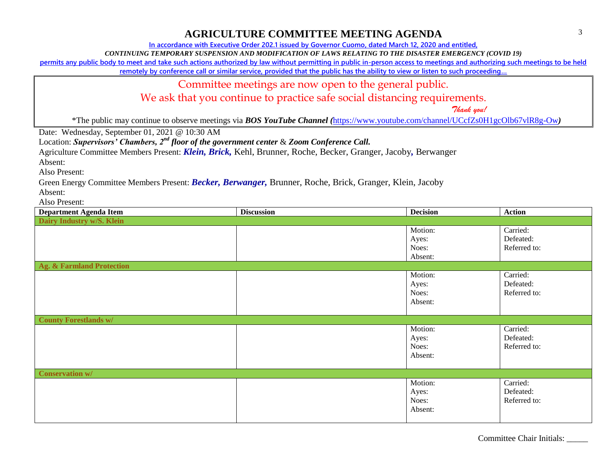**In accordance with Executive Order 202.1 issued by Governor Cuomo, dated March 12, 2020 and entitled,**

*CONTINUING TEMPORARY SUSPENSION AND MODIFICATION OF LAWS RELATING TO THE DISASTER EMERGENCY (COVID 19)*

**permits any public body to meet and take such actions authorized by law without permitting in public in-person access to meetings and authorizing such meetings to be held** 

**remotely by conference call or similar service, provided that the public has the ability to view or listen to such proceeding…**

Committee meetings are now open to the general public.

We ask that you continue to practice safe social distancing requirements.

 *Thank you!*

\*The public may continue to observe meetings via *BOS YouTube Channel (*<https://www.youtube.com/channel/UCcfZs0H1gcOlb67vlR8g-Ow>*)*

Date: Wednesday, September 01, 2021 @ 10:30 AM

Location: *Supervisors' Chambers, 2nd floor of the government center* & *Zoom Conference Call.*

Agriculture Committee Members Present: *Klein, Brick,* Kehl, Brunner, Roche, Becker, Granger, Jacoby*,* Berwanger

Absent:

Also Present:

Green Energy Committee Members Present: *Becker, Berwanger,* Brunner, Roche, Brick, Granger, Klein, Jacoby

Absent:

Also Present:

| <b>Department Agenda Item</b>        | <b>Discussion</b> | <b>Decision</b> | <b>Action</b> |  |
|--------------------------------------|-------------------|-----------------|---------------|--|
| Dairy Industry w/S. Klein            |                   |                 |               |  |
|                                      |                   | Motion:         | Carried:      |  |
|                                      |                   | Ayes:           | Defeated:     |  |
|                                      |                   | Noes:           | Referred to:  |  |
|                                      |                   | Absent:         |               |  |
| <b>Ag. &amp; Farmland Protection</b> |                   |                 |               |  |
|                                      |                   | Motion:         | Carried:      |  |
|                                      |                   | Ayes:           | Defeated:     |  |
|                                      |                   | Noes:           | Referred to:  |  |
|                                      |                   | Absent:         |               |  |
|                                      |                   |                 |               |  |
| <b>County Forestlands w/</b>         |                   |                 |               |  |
|                                      |                   | Motion:         | Carried:      |  |
|                                      |                   | Ayes:           | Defeated:     |  |
|                                      |                   | Noes:           | Referred to:  |  |
|                                      |                   | Absent:         |               |  |
|                                      |                   |                 |               |  |
| <b>Conservation w/</b>               |                   |                 |               |  |
|                                      |                   | Motion:         | Carried:      |  |
|                                      |                   | Ayes:           | Defeated:     |  |
|                                      |                   | Noes:           | Referred to:  |  |
|                                      |                   | Absent:         |               |  |
|                                      |                   |                 |               |  |